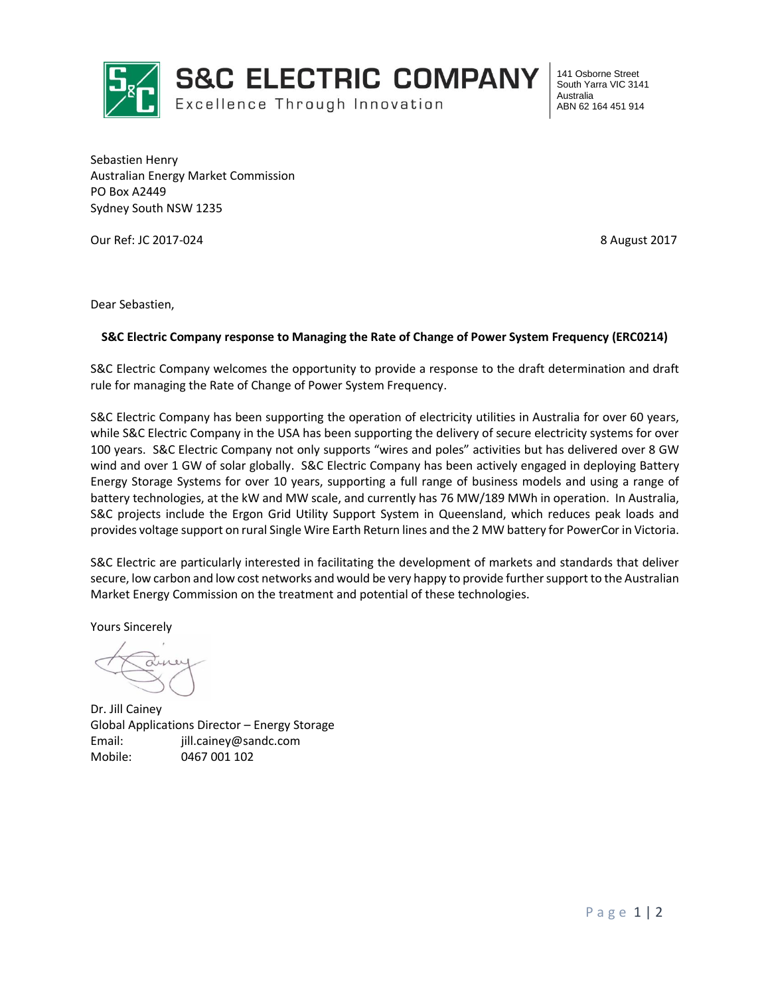

**S&C ELECTRIC COMPANY** 

Excellence Through Innovation

141 Osborne Street South Yarra VIC 3141 Australia ABN 62 164 451 914

Sebastien Henry Australian Energy Market Commission PO Box A2449 Sydney South NSW 1235

Our Ref: JC 2017-024 8 August 2017

Dear Sebastien,

## **S&C Electric Company response to Managing the Rate of Change of Power System Frequency (ERC0214)**

S&C Electric Company welcomes the opportunity to provide a response to the draft determination and draft rule for managing the Rate of Change of Power System Frequency.

S&C Electric Company has been supporting the operation of electricity utilities in Australia for over 60 years, while S&C Electric Company in the USA has been supporting the delivery of secure electricity systems for over 100 years. S&C Electric Company not only supports "wires and poles" activities but has delivered over 8 GW wind and over 1 GW of solar globally. S&C Electric Company has been actively engaged in deploying Battery Energy Storage Systems for over 10 years, supporting a full range of business models and using a range of battery technologies, at the kW and MW scale, and currently has 76 MW/189 MWh in operation. In Australia, S&C projects include the Ergon Grid Utility Support System in Queensland, which reduces peak loads and provides voltage support on rural Single Wire Earth Return lines and the 2 MW battery for PowerCor in Victoria.

S&C Electric are particularly interested in facilitating the development of markets and standards that deliver secure, low carbon and low cost networks and would be very happy to provide further support to the Australian Market Energy Commission on the treatment and potential of these technologies.

Yours Sincerely

Dr. Jill Cainey Global Applications Director – Energy Storage Email: jill.cainey@sandc.com Mobile: 0467 001 102